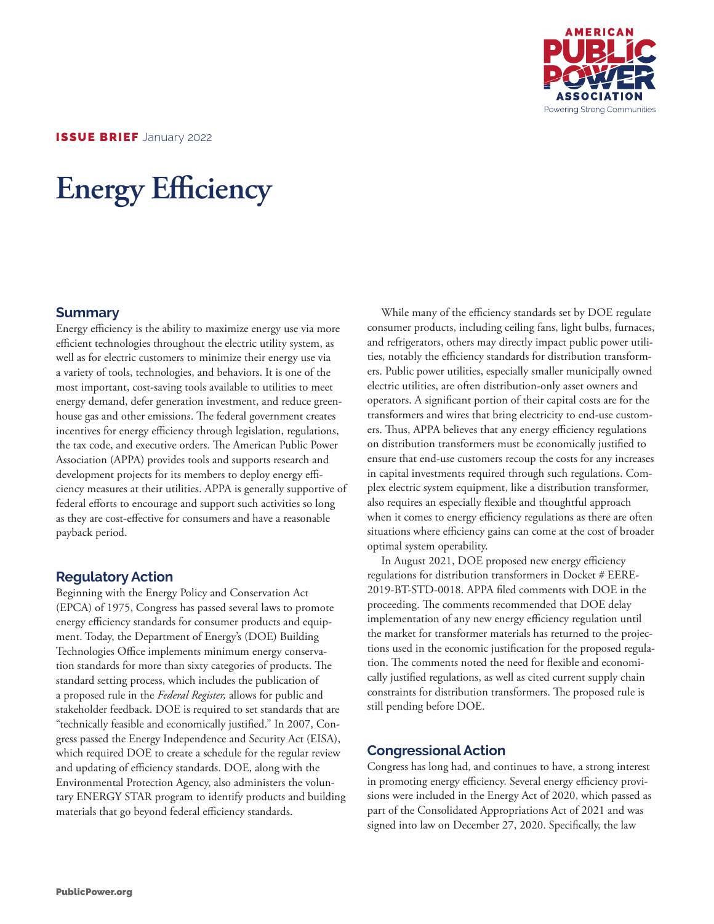

ISSUE BRIEF January 2022

# **Energy Efficiency**

#### **Summary**

Energy efficiency is the ability to maximize energy use via more efficient technologies throughout the electric utility system, as well as for electric customers to minimize their energy use via a variety of tools, technologies, and behaviors. It is one of the most important, cost-saving tools available to utilities to meet energy demand, defer generation investment, and reduce greenhouse gas and other emissions. The federal government creates incentives for energy efficiency through legislation, regulations, the tax code, and executive orders. The American Public Power Association (APPA) provides tools and supports research and development projects for its members to deploy energy efficiency measures at their utilities. APPA is generally supportive of federal efforts to encourage and support such activities so long as they are cost-effective for consumers and have a reasonable payback period.

### **Regulatory Action**

Beginning with the Energy Policy and Conservation Act (EPCA) of 1975, Congress has passed several laws to promote energy efficiency standards for consumer products and equipment. Today, the Department of Energy's (DOE) Building Technologies Office implements minimum energy conservation standards for more than sixty categories of products. The standard setting process, which includes the publication of a proposed rule in the *Federal Register,* allows for public and stakeholder feedback. DOE is required to set standards that are "technically feasible and economically justified." In 2007, Congress passed the Energy Independence and Security Act (EISA), which required DOE to create a schedule for the regular review and updating of efficiency standards. DOE, along with the Environmental Protection Agency, also administers the voluntary ENERGY STAR program to identify products and building materials that go beyond federal efficiency standards.

While many of the efficiency standards set by DOE regulate consumer products, including ceiling fans, light bulbs, furnaces, and refrigerators, others may directly impact public power utilities, notably the efficiency standards for distribution transformers. Public power utilities, especially smaller municipally owned electric utilities, are often distribution-only asset owners and operators. A significant portion of their capital costs are for the transformers and wires that bring electricity to end-use customers. Thus, APPA believes that any energy efficiency regulations on distribution transformers must be economically justified to ensure that end-use customers recoup the costs for any increases in capital investments required through such regulations. Complex electric system equipment, like a distribution transformer, also requires an especially flexible and thoughtful approach when it comes to energy efficiency regulations as there are often situations where efficiency gains can come at the cost of broader optimal system operability.

In August 2021, DOE proposed new energy efficiency regulations for distribution transformers in Docket # EERE-2019-BT-STD-0018. APPA filed comments with DOE in the proceeding. The comments recommended that DOE delay implementation of any new energy efficiency regulation until the market for transformer materials has returned to the projections used in the economic justification for the proposed regulation. The comments noted the need for flexible and economically justified regulations, as well as cited current supply chain constraints for distribution transformers. The proposed rule is still pending before DOE.

## **Congressional Action**

Congress has long had, and continues to have, a strong interest in promoting energy efficiency. Several energy efficiency provisions were included in the Energy Act of 2020, which passed as part of the Consolidated Appropriations Act of 2021 and was signed into law on December 27, 2020. Specifically, the law